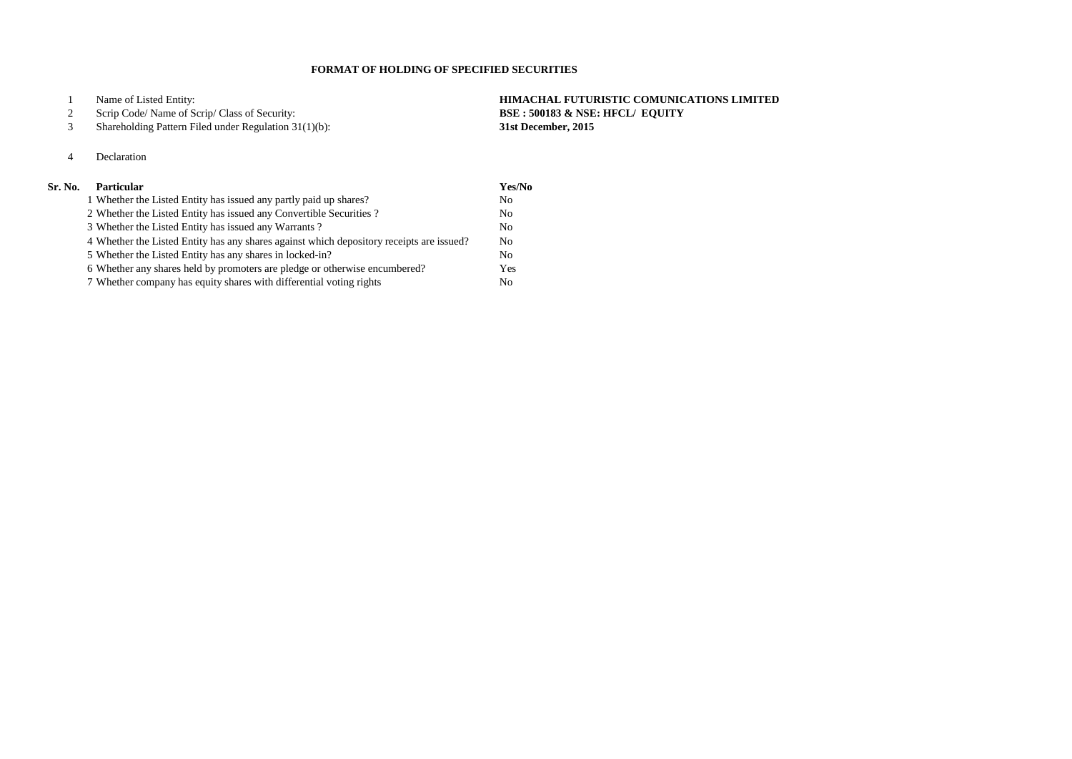Name of Listed Entity: **HIMACHAL FUTURISTIC COMUNICATIONS LIMITED** Scrip Code/ Name of Scrip/ Class of Security: **BSE : 500183 & NSE: HFCL/ EQUITY**

#### Shareholding Pattern Filed under Regulation 31(1)(b): **31st December, 2015**

# Declaration

## **Sr. No. Particular Yes/No**

| 1 Whether the Listed Entity has issued any partly paid up shares?                        | N <sub>0</sub> |
|------------------------------------------------------------------------------------------|----------------|
| 2 Whether the Listed Entity has issued any Convertible Securities?                       | N <sub>0</sub> |
| 3 Whether the Listed Entity has issued any Warrants?                                     | N <sub>o</sub> |
| 4 Whether the Listed Entity has any shares against which depository receipts are issued? | N <sub>0</sub> |
| 5 Whether the Listed Entity has any shares in locked-in?                                 | N <sub>0</sub> |
| 6 Whether any shares held by promoters are pledge or otherwise encumbered?               | Yes            |
| 7 Whether company has equity shares with differential voting rights                      | No.            |

### **FORMAT OF HOLDING OF SPECIFIED SECURITIES**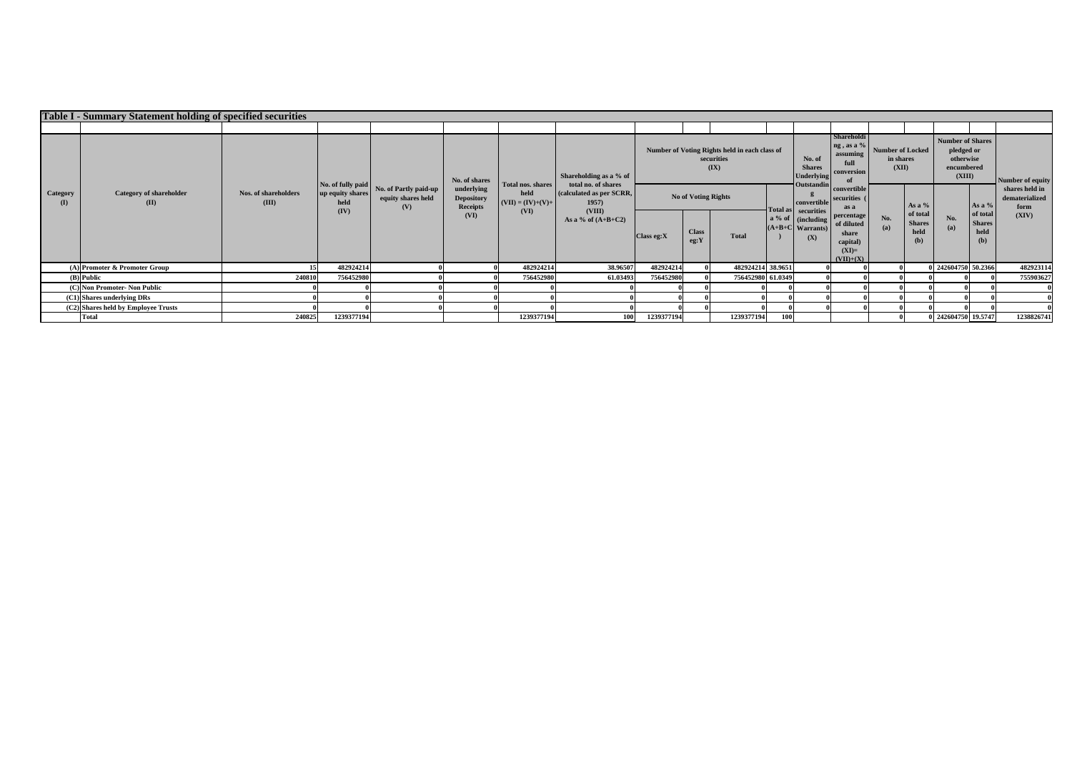|                        | Table I - Summary Statement holding of specified securities |                                      |                          |                                                    |                                             |                             |                                                                     |                            |                                                                     |                                                            |                                                                        |                                                                       |                                                                         |                                                                            |                                          |                         |                                          |                                          |
|------------------------|-------------------------------------------------------------|--------------------------------------|--------------------------|----------------------------------------------------|---------------------------------------------|-----------------------------|---------------------------------------------------------------------|----------------------------|---------------------------------------------------------------------|------------------------------------------------------------|------------------------------------------------------------------------|-----------------------------------------------------------------------|-------------------------------------------------------------------------|----------------------------------------------------------------------------|------------------------------------------|-------------------------|------------------------------------------|------------------------------------------|
|                        |                                                             |                                      |                          |                                                    |                                             |                             |                                                                     |                            |                                                                     |                                                            |                                                                        |                                                                       |                                                                         |                                                                            |                                          |                         |                                          |                                          |
|                        |                                                             |                                      | No. of fully paid        |                                                    | No. of shares                               | Total nos. shares           | Shareholding as a % of<br>total no. of shares                       |                            | Number of Voting Rights held in each class of<br>securities<br>(IX) | No. of<br><b>Shares</b><br><b>Underlying</b><br>Outstandin | <b>Shareholdi</b><br>$ng$ , as a $%$<br>assuming<br>full<br>conversion | <b>Number of Locked</b><br>in shares<br>(XII)                         |                                                                         | <b>Number of Shares</b><br>pledged or<br>otherwise<br>encumbered<br>(XIII) |                                          | <b>Number of equity</b> |                                          |                                          |
| <b>Category</b><br>(I) | <b>Category of shareholder</b><br>(II)                      | <b>Nos. of shareholders</b><br>(III) | up equity shares<br>held | No. of Partly paid-up<br>equity shares held<br>(V) | underlying<br><b>Depository</b><br>Receipts | held<br>$(VII) = (IV)+(V)+$ | (calculated as per SCRR,<br>1957)<br>(VIII)<br>As a % of $(A+B+C2)$ | <b>No of Voting Rights</b> |                                                                     |                                                            |                                                                        | convertible                                                           | <b>convertible</b><br>securities (<br>as a                              |                                                                            | As a $%$                                 |                         | As a %                                   | shares held in<br>dematerialized<br>form |
|                        |                                                             |                                      | (IV)                     |                                                    | (VI)                                        | (VI)                        |                                                                     | $\bigcap$ Class eg:X       | <b>Class</b><br>eg:Y                                                | <b>Total</b>                                               |                                                                        | Total as securities<br>a % of cincluding<br>$(A+B+C$ Warrants)<br>(X) | percentage<br>of diluted<br>share<br>capital)<br>$(XI)=$<br>$(VII)+(X)$ | No.<br>(a)                                                                 | of total<br><b>Shares</b><br>held<br>(b) | No.<br>(a)              | of total<br><b>Shares</b><br>held<br>(b) | (XIV)                                    |
|                        | $(A)$ Promoter & Promoter Group                             |                                      | 482924214                |                                                    |                                             | 482924214                   | 38.96507                                                            | 482924214                  |                                                                     | 482924214 38.9651                                          |                                                                        |                                                                       |                                                                         |                                                                            |                                          | 0 242604750 50.2366     |                                          | 482923114                                |
|                        | $(B)$ Public                                                | 240810                               | 756452980                |                                                    |                                             | 756452980                   | 61.03493                                                            | 756452980                  |                                                                     | 756452980 61.0349                                          |                                                                        |                                                                       |                                                                         |                                                                            |                                          |                         |                                          | 755903627                                |
|                        | (C) Non Promoter- Non Public                                |                                      |                          |                                                    |                                             |                             |                                                                     |                            |                                                                     |                                                            |                                                                        |                                                                       |                                                                         |                                                                            |                                          |                         |                                          |                                          |
|                        | (C1) Shares underlying DRs                                  |                                      |                          |                                                    |                                             |                             |                                                                     |                            |                                                                     |                                                            |                                                                        |                                                                       |                                                                         |                                                                            |                                          |                         |                                          |                                          |
|                        | $(C2)$ Shares held by Employee Trusts                       |                                      |                          |                                                    |                                             |                             |                                                                     |                            |                                                                     |                                                            |                                                                        |                                                                       |                                                                         |                                                                            |                                          |                         |                                          |                                          |
|                        | Total                                                       | 240825                               | 1239377194               |                                                    |                                             | 1239377194                  | <b>100</b>                                                          | 1239377194                 |                                                                     | 1239377194                                                 | <b>100</b>                                                             |                                                                       |                                                                         |                                                                            |                                          | 0 242604750 19.5747     |                                          | 1238826741                               |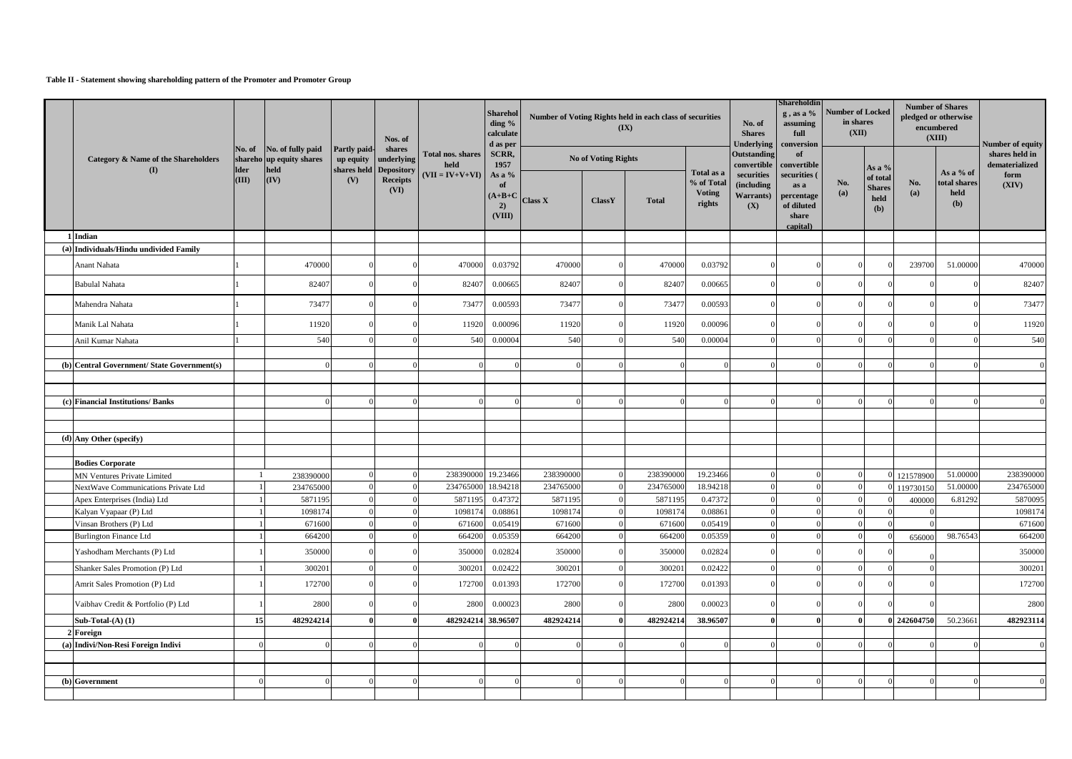#### **Table II - Statement showing shareholding pattern of the Promoter and Promoter Group**

|                                                   |             |                                                      |                     |                                                   |                                  |                                                     | Nos. of        |                     | <b>Sharehol</b><br>ding %<br>calculate |                                                     |                                                      | Number of Voting Rights held in each class of securities<br>(IX)      |            | No. of<br><b>Shares</b>                  | <b>Shareholdin</b><br>$g$ , as a %<br>assuming<br>full | <b>Number of Locked</b><br>in shares<br>(XII) |                                                      |  | <b>Number of Shares</b><br>pledged or otherwise<br>encumbered<br>(XIII) |  |
|---------------------------------------------------|-------------|------------------------------------------------------|---------------------|---------------------------------------------------|----------------------------------|-----------------------------------------------------|----------------|---------------------|----------------------------------------|-----------------------------------------------------|------------------------------------------------------|-----------------------------------------------------------------------|------------|------------------------------------------|--------------------------------------------------------|-----------------------------------------------|------------------------------------------------------|--|-------------------------------------------------------------------------|--|
| Category & Name of the Shareholders<br><b>(I)</b> | <b>Ider</b> | No. of No. of fully paid<br>shareho up equity shares | <b>Partly paid-</b> | shares<br>up equity underlying                    | <b>Total nos. shares</b><br>held | d as per<br>SCRR,<br>1957                           |                | No of Voting Rights |                                        |                                                     | <b>Underlying</b><br><b>Outstanding</b>              | conversion<br>of<br>convertible convertible                           |            | As a $%$                                 |                                                        |                                               | Number of equity<br>shares held in<br>dematerialized |  |                                                                         |  |
|                                                   | (III)       | held<br>$(\mathbf{IV})$                              | (V)                 | shares held Depository<br><b>Receipts</b><br>(VI) | $(VII = IV+V+VI)$                | As a %<br>of<br>$(A+B+C)$<br>$\mathbf{2}$<br>(VIII) | <b>Class X</b> | ClassY              | <b>Total</b>                           | Total as a<br>% of Total<br><b>Voting</b><br>rights | securities<br>(including<br><b>Warrants</b> )<br>(X) | securities (<br>as a<br>percentage<br>of diluted<br>share<br>capital) | No.<br>(a) | of total<br><b>Shares</b><br>held<br>(b) | No.<br>(a)                                             | As a % of<br>total shares<br>held<br>(b)      | form<br>(XIV)                                        |  |                                                                         |  |
| 1 Indian                                          |             |                                                      |                     |                                                   |                                  |                                                     |                |                     |                                        |                                                     |                                                      |                                                                       |            |                                          |                                                        |                                               |                                                      |  |                                                                         |  |
| (a) Individuals/Hindu undivided Family            |             |                                                      |                     |                                                   |                                  |                                                     |                |                     |                                        |                                                     |                                                      |                                                                       |            |                                          |                                                        |                                               |                                                      |  |                                                                         |  |
| Anant Nahata                                      |             | 470000                                               |                     |                                                   | 470000                           | 0.03792                                             | 470000         |                     | 470000                                 | 0.03792                                             |                                                      |                                                                       |            |                                          | 239700                                                 | 51.00000                                      | 470000                                               |  |                                                                         |  |
| <b>Babulal Nahata</b>                             |             | 82407                                                |                     |                                                   | 82407                            | 0.00665                                             | 82407          |                     | 82407                                  | 0.00665                                             |                                                      |                                                                       |            |                                          |                                                        |                                               | 82407                                                |  |                                                                         |  |
| Mahendra Nahata                                   |             | 73477                                                |                     |                                                   | 73477                            | 0.00593                                             | 73477          |                     | 73477                                  | 0.00593                                             |                                                      |                                                                       |            |                                          |                                                        |                                               | 73477                                                |  |                                                                         |  |
| Manik Lal Nahata                                  |             | 11920                                                |                     |                                                   | 11920                            | 0.00096                                             | 11920          |                     | 11920                                  | 0.00096                                             |                                                      |                                                                       |            |                                          |                                                        |                                               | 11920                                                |  |                                                                         |  |
| Anil Kumar Nahata                                 |             | 540                                                  |                     |                                                   | 540                              | 0.00004                                             | 540            |                     | 540                                    | 0.00004                                             |                                                      |                                                                       |            |                                          |                                                        |                                               | 540                                                  |  |                                                                         |  |
| (b) Central Government/ State Government(s)       |             |                                                      |                     |                                                   |                                  |                                                     |                |                     |                                        |                                                     |                                                      |                                                                       |            |                                          |                                                        |                                               |                                                      |  |                                                                         |  |
|                                                   |             |                                                      |                     |                                                   |                                  |                                                     |                |                     |                                        |                                                     |                                                      |                                                                       |            |                                          |                                                        |                                               |                                                      |  |                                                                         |  |
|                                                   |             |                                                      |                     |                                                   |                                  |                                                     |                |                     |                                        |                                                     |                                                      |                                                                       |            |                                          |                                                        |                                               |                                                      |  |                                                                         |  |
| (c) Financial Institutions/ Banks                 |             |                                                      |                     |                                                   |                                  |                                                     |                |                     |                                        |                                                     |                                                      |                                                                       |            | $\Omega$                                 |                                                        |                                               |                                                      |  |                                                                         |  |
|                                                   |             |                                                      |                     |                                                   |                                  |                                                     |                |                     |                                        |                                                     |                                                      |                                                                       |            |                                          |                                                        |                                               |                                                      |  |                                                                         |  |
| $(d)$ Any Other (specify)                         |             |                                                      |                     |                                                   |                                  |                                                     |                |                     |                                        |                                                     |                                                      |                                                                       |            |                                          |                                                        |                                               |                                                      |  |                                                                         |  |
|                                                   |             |                                                      |                     |                                                   |                                  |                                                     |                |                     |                                        |                                                     |                                                      |                                                                       |            |                                          |                                                        |                                               |                                                      |  |                                                                         |  |
| <b>Bodies Corporate</b>                           |             |                                                      |                     |                                                   |                                  |                                                     |                |                     |                                        |                                                     |                                                      |                                                                       |            |                                          |                                                        |                                               |                                                      |  |                                                                         |  |
| <b>MN Ventures Private Limited</b>                |             | 238390000                                            |                     |                                                   | 238390000 19.23466               |                                                     | 238390000      |                     | 238390000                              | 19.23466                                            |                                                      |                                                                       |            |                                          | 0 121578900                                            | 51.00000                                      | 238390000                                            |  |                                                                         |  |
| NextWave Communications Private Ltd               |             | 234765000                                            |                     |                                                   | 234765000                        | 18.94218                                            | 234765000      |                     | 234765000                              | 18.94218                                            |                                                      |                                                                       |            |                                          | 0 119730150                                            | 51.00000                                      | 234765000                                            |  |                                                                         |  |
| Apex Enterprises (India) Ltd                      |             | 5871195                                              |                     |                                                   |                                  | 5871195  0.47372                                    | 5871195        |                     | 5871195                                | 0.47372                                             | $\Omega$                                             |                                                                       |            | $\Omega$                                 | 400000                                                 | 6.81292                                       | 5870095                                              |  |                                                                         |  |
| Kalyan Vyapaar (P) Ltd                            |             | 1098174                                              |                     |                                                   | 1098174                          | 0.08861                                             | 1098174        |                     | 1098174                                | 0.08861                                             |                                                      |                                                                       |            | $\Omega$                                 |                                                        |                                               | 1098174                                              |  |                                                                         |  |
| Vinsan Brothers (P) Ltd                           |             | 671600                                               |                     |                                                   | 671600                           | 0.05419                                             | 671600         |                     | 671600                                 | 0.05419                                             |                                                      |                                                                       |            |                                          |                                                        |                                               | 671600                                               |  |                                                                         |  |
| <b>Burlington Finance Ltd</b>                     |             | 664200                                               |                     |                                                   | 664200                           | 0.05359                                             | 664200         |                     | 664200                                 | 0.05359                                             |                                                      |                                                                       |            |                                          | 656000                                                 | 98.76543                                      | 664200                                               |  |                                                                         |  |
| Yashodham Merchants (P) Ltd                       |             | 350000                                               |                     |                                                   | 350000                           | 0.02824                                             | 350000         |                     | 350000                                 | 0.02824                                             |                                                      |                                                                       |            |                                          |                                                        |                                               | 350000                                               |  |                                                                         |  |
| Shanker Sales Promotion (P) Ltd                   |             | 300201                                               |                     |                                                   | 300201                           | 0.02422                                             | 300201         |                     | 300201                                 | 0.02422                                             |                                                      |                                                                       |            | $\Omega$                                 |                                                        |                                               | 300201                                               |  |                                                                         |  |
| Amrit Sales Promotion (P) Ltd                     |             | 172700                                               |                     |                                                   | 172700                           | 0.01393                                             | 172700         |                     | 172700                                 | 0.01393                                             |                                                      |                                                                       |            |                                          |                                                        |                                               | 172700                                               |  |                                                                         |  |
| Vaibhav Credit & Portfolio (P) Ltd                |             | 2800                                                 |                     |                                                   | 2800                             | 0.00023                                             | 2800           |                     | 2800                                   | 0.00023                                             |                                                      |                                                                       |            |                                          |                                                        |                                               | 2800                                                 |  |                                                                         |  |
| Sub-Total- $(A)$ $(1)$                            | 15          | 482924214                                            |                     |                                                   | 482924214 38.96507               |                                                     | 482924214      |                     | 482924214                              | 38.96507                                            |                                                      |                                                                       |            |                                          | 0 242604750                                            | 50.23661                                      | 482923114                                            |  |                                                                         |  |
| 2 Foreign                                         |             |                                                      |                     |                                                   |                                  |                                                     |                |                     |                                        |                                                     |                                                      |                                                                       |            |                                          |                                                        |                                               |                                                      |  |                                                                         |  |
| (a) Indivi/Non-Resi Foreign Indivi                |             |                                                      |                     |                                                   |                                  |                                                     |                |                     |                                        |                                                     |                                                      |                                                                       |            | $\Omega$                                 |                                                        |                                               |                                                      |  |                                                                         |  |
|                                                   |             |                                                      |                     |                                                   |                                  |                                                     |                |                     |                                        |                                                     |                                                      |                                                                       |            |                                          |                                                        |                                               |                                                      |  |                                                                         |  |
|                                                   |             |                                                      |                     |                                                   |                                  |                                                     |                |                     |                                        |                                                     |                                                      |                                                                       |            |                                          |                                                        |                                               |                                                      |  |                                                                         |  |
| $(b)$ Government                                  |             |                                                      |                     |                                                   |                                  |                                                     |                |                     |                                        |                                                     |                                                      |                                                                       |            |                                          |                                                        |                                               |                                                      |  |                                                                         |  |
|                                                   |             |                                                      |                     |                                                   |                                  |                                                     |                |                     |                                        |                                                     |                                                      |                                                                       |            |                                          |                                                        |                                               |                                                      |  |                                                                         |  |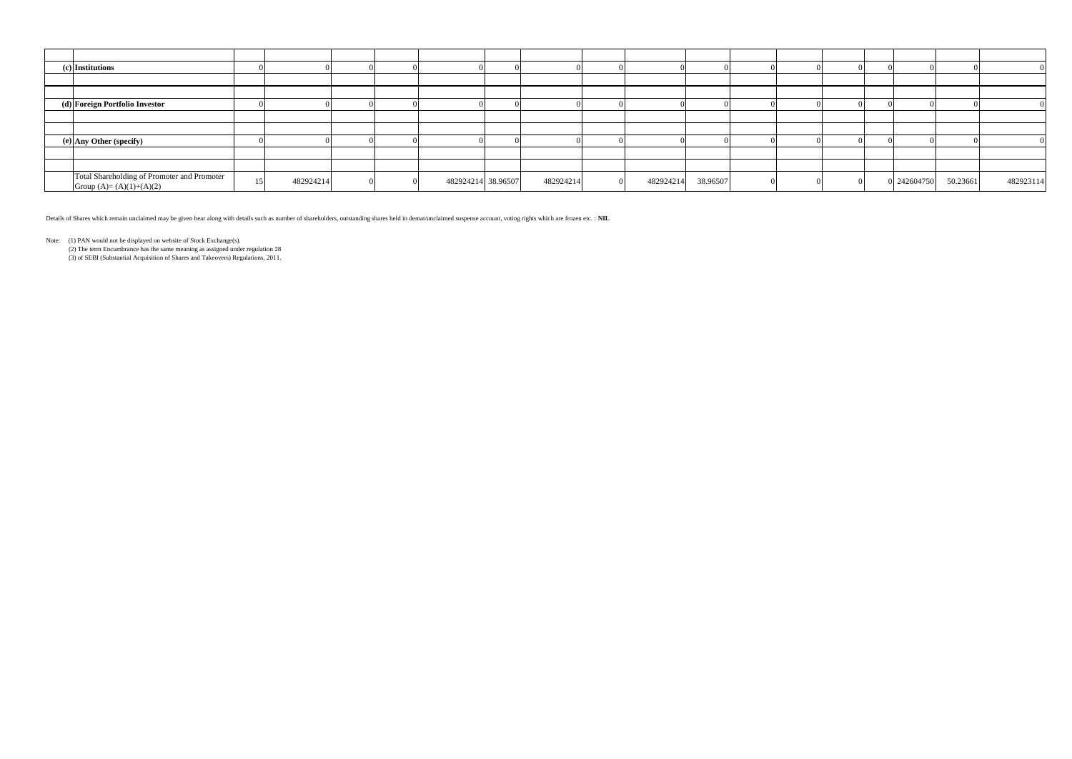| (c) Institutions                                                         |           |  |                    |           |           |          |  |  |             |          |           |
|--------------------------------------------------------------------------|-----------|--|--------------------|-----------|-----------|----------|--|--|-------------|----------|-----------|
|                                                                          |           |  |                    |           |           |          |  |  |             |          |           |
|                                                                          |           |  |                    |           |           |          |  |  |             |          |           |
| (d) Foreign Portfolio Investor                                           |           |  |                    |           |           |          |  |  |             |          |           |
|                                                                          |           |  |                    |           |           |          |  |  |             |          |           |
|                                                                          |           |  |                    |           |           |          |  |  |             |          |           |
| (e) Any Other (specify)                                                  |           |  |                    |           |           |          |  |  |             |          |           |
|                                                                          |           |  |                    |           |           |          |  |  |             |          |           |
|                                                                          |           |  |                    |           |           |          |  |  |             |          |           |
| Total Shareholding of Promoter and Promoter<br>Group $(A)=(A)(1)+(A)(2)$ | 482924214 |  | 482924214 38.96507 | 482924214 | 482924214 | 38.96507 |  |  | 0 242604750 | 50.23661 | 482923114 |

Details of Shares which remain unclaimed may be given hear along with details such as number of shareholders, outstanding shares held in demat/unclaimed suspense account, voting rights which are frozen etc. : **NIL**

Note: (1) PAN would not be displayed on website of Stock Exchange(s).

(2) The term Encumbrance has the same meaning as assigned under regulation 28

(3) of SEBI (Substantial Acquisition of Shares and Takeovers) Regulations, 2011.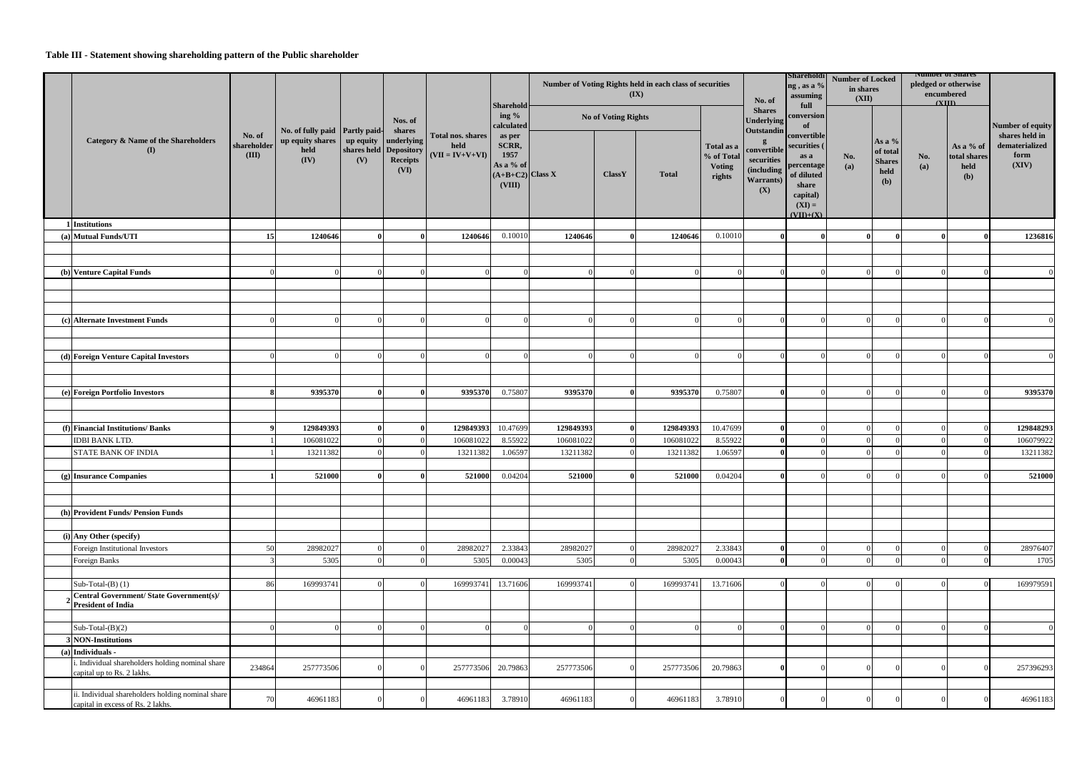## **Table III - Statement showing shareholding pattern of the Public shareholder**

|                                                                                        |                                |                                                                    |                  |                                                          | Total nos. shares<br>held<br>$(VII = IV+V+VI)$ | Number of Voting Rights held in each class of securities<br>(IX)<br>No. of<br>Sharehold |           |                            |              |                                                     |                                                                                  | <b>Shareholdi</b><br>ng, as a %<br>assuming                                                                       | <b>Number of Locked</b><br>in shares<br>(XII) |                                                       | <b>NUMBER OF SHAFES</b><br>encumbered<br>$\alpha$ m | pledged or otherwise                     |                                                   |
|----------------------------------------------------------------------------------------|--------------------------------|--------------------------------------------------------------------|------------------|----------------------------------------------------------|------------------------------------------------|-----------------------------------------------------------------------------------------|-----------|----------------------------|--------------|-----------------------------------------------------|----------------------------------------------------------------------------------|-------------------------------------------------------------------------------------------------------------------|-----------------------------------------------|-------------------------------------------------------|-----------------------------------------------------|------------------------------------------|---------------------------------------------------|
|                                                                                        |                                |                                                                    |                  | Nos. of<br>shares                                        |                                                | ing %<br>calculated                                                                     |           | <b>No of Voting Rights</b> |              |                                                     | <b>Shares</b><br><b>Underlying</b>                                               | full<br>conversion<br>of                                                                                          |                                               |                                                       |                                                     |                                          | Number of equity                                  |
| <b>Category &amp; Name of the Shareholders</b><br>$\mathbf{I}(I)$                      | No. of<br>shareholder<br>(III) | No. of fully paid Partly paid-<br>up equity shares<br>held<br>(IV) | up equity<br>(V) | underlying<br>shares held Depository<br>Receipts<br>(VI) |                                                | as per<br>SCRR,<br>1957<br>As a % of<br>$(A+B+C2)$ Class X<br>(VIII)                    |           | <b>ClassY</b>              | <b>Total</b> | Total as a<br>% of Total<br><b>Voting</b><br>rights | <b>Outstandin</b><br>convertible<br>securities<br>(including<br>Warrants)<br>(X) | convertible<br>securities (<br>as a<br>percentage<br>of diluted<br>share<br>capital)<br>$(XI) =$<br>$(VII) + (X)$ | No.<br>(a)                                    | As a $\%$<br>of total<br><b>Shares</b><br>held<br>(b) | No.<br>(a)                                          | As a % of<br>total shares<br>held<br>(b) | shares held in<br>dematerialized<br>form<br>(XIV) |
| 1 Institutions                                                                         |                                |                                                                    |                  |                                                          |                                                |                                                                                         |           |                            |              |                                                     |                                                                                  |                                                                                                                   |                                               |                                                       |                                                     |                                          |                                                   |
| (a) Mutual Funds/UTI                                                                   | <b>15</b>                      | 1240646                                                            |                  |                                                          | 1240646                                        | 0.10010                                                                                 | 1240646   |                            | 1240646      | 0.10010                                             | - 0                                                                              |                                                                                                                   |                                               |                                                       |                                                     |                                          | 1236816                                           |
|                                                                                        |                                |                                                                    |                  |                                                          |                                                |                                                                                         |           |                            |              |                                                     |                                                                                  |                                                                                                                   |                                               |                                                       |                                                     |                                          |                                                   |
|                                                                                        |                                |                                                                    |                  |                                                          |                                                |                                                                                         |           |                            |              |                                                     |                                                                                  |                                                                                                                   |                                               |                                                       |                                                     |                                          |                                                   |
| (b) Venture Capital Funds                                                              |                                |                                                                    |                  |                                                          |                                                |                                                                                         |           |                            |              |                                                     |                                                                                  |                                                                                                                   |                                               |                                                       |                                                     |                                          |                                                   |
|                                                                                        |                                |                                                                    |                  |                                                          |                                                |                                                                                         |           |                            |              |                                                     |                                                                                  |                                                                                                                   |                                               |                                                       |                                                     |                                          |                                                   |
|                                                                                        |                                |                                                                    |                  |                                                          |                                                |                                                                                         |           |                            |              |                                                     |                                                                                  |                                                                                                                   |                                               |                                                       |                                                     |                                          |                                                   |
| (c) Alternate Investment Funds                                                         |                                |                                                                    |                  |                                                          |                                                |                                                                                         |           |                            |              |                                                     | $\Omega$                                                                         | $\Omega$                                                                                                          |                                               | $\Omega$                                              |                                                     |                                          |                                                   |
|                                                                                        |                                |                                                                    |                  |                                                          |                                                |                                                                                         |           |                            |              |                                                     |                                                                                  |                                                                                                                   |                                               |                                                       |                                                     |                                          |                                                   |
|                                                                                        |                                |                                                                    |                  |                                                          |                                                |                                                                                         |           |                            |              |                                                     |                                                                                  |                                                                                                                   |                                               |                                                       |                                                     |                                          |                                                   |
| (d) Foreign Venture Capital Investors                                                  |                                |                                                                    |                  |                                                          |                                                |                                                                                         |           |                            |              |                                                     |                                                                                  |                                                                                                                   |                                               |                                                       |                                                     |                                          |                                                   |
|                                                                                        |                                |                                                                    |                  |                                                          |                                                |                                                                                         |           |                            |              |                                                     |                                                                                  |                                                                                                                   |                                               |                                                       |                                                     |                                          |                                                   |
|                                                                                        |                                |                                                                    |                  |                                                          |                                                |                                                                                         |           |                            |              |                                                     |                                                                                  |                                                                                                                   |                                               |                                                       |                                                     |                                          |                                                   |
| (e) Foreign Portfolio Investors                                                        |                                | 9395370                                                            |                  |                                                          | 9395370                                        | 0.75807                                                                                 | 9395370   |                            | 9395370      | 0.75807                                             | $\Omega$                                                                         |                                                                                                                   |                                               |                                                       |                                                     |                                          | 9395370                                           |
|                                                                                        |                                |                                                                    |                  |                                                          |                                                |                                                                                         |           |                            |              |                                                     |                                                                                  |                                                                                                                   |                                               |                                                       |                                                     |                                          |                                                   |
| (f) Financial Institutions/ Banks                                                      |                                | 129849393                                                          |                  |                                                          | 129849393                                      | 10.47699                                                                                | 129849393 |                            | 129849393    | 10.47699                                            | $\vert$ 0                                                                        | $\Omega$                                                                                                          |                                               | $\Omega$                                              |                                                     |                                          | 129848293                                         |
| <b>IDBI BANK LTD.</b>                                                                  |                                | 106081022                                                          |                  |                                                          | 106081022                                      | 8.55922                                                                                 | 106081022 |                            | 106081022    | 8.55922                                             | $\Omega$                                                                         |                                                                                                                   |                                               |                                                       |                                                     |                                          | 106079922                                         |
| <b>STATE BANK OF INDIA</b>                                                             |                                | 13211382                                                           |                  |                                                          | 13211382                                       | 1.06597                                                                                 | 13211382  |                            | 13211382     | 1.06597                                             |                                                                                  |                                                                                                                   |                                               |                                                       |                                                     |                                          | 13211382                                          |
|                                                                                        |                                |                                                                    |                  |                                                          |                                                |                                                                                         |           |                            |              |                                                     |                                                                                  |                                                                                                                   |                                               |                                                       |                                                     |                                          |                                                   |
| (g) Insurance Companies                                                                | 11                             | 521000                                                             |                  | $\bf{0}$                                                 |                                                | 521000 0.04204                                                                          | 521000    |                            | 521000       | 0.04204                                             | $\mathbf{0}$                                                                     |                                                                                                                   |                                               | $\Omega$                                              |                                                     |                                          | 521000                                            |
|                                                                                        |                                |                                                                    |                  |                                                          |                                                |                                                                                         |           |                            |              |                                                     |                                                                                  |                                                                                                                   |                                               |                                                       |                                                     |                                          |                                                   |
|                                                                                        |                                |                                                                    |                  |                                                          |                                                |                                                                                         |           |                            |              |                                                     |                                                                                  |                                                                                                                   |                                               |                                                       |                                                     |                                          |                                                   |
| (h) Provident Funds/ Pension Funds                                                     |                                |                                                                    |                  |                                                          |                                                |                                                                                         |           |                            |              |                                                     |                                                                                  |                                                                                                                   |                                               |                                                       |                                                     |                                          |                                                   |
|                                                                                        |                                |                                                                    |                  |                                                          |                                                |                                                                                         |           |                            |              |                                                     |                                                                                  |                                                                                                                   |                                               |                                                       |                                                     |                                          |                                                   |
| (i) Any Other (specify)<br>Foreign Institutional Investors                             | 50                             | 28982027                                                           |                  |                                                          | 28982027                                       | 2.33843                                                                                 | 28982027  |                            | 28982027     | 2.33843                                             | $\overline{0}$                                                                   | $\Omega$                                                                                                          |                                               | $\Omega$                                              |                                                     |                                          | 28976407                                          |
| Foreign Banks                                                                          |                                | 5305                                                               |                  |                                                          | 5305                                           | 0.00043                                                                                 | 5305      |                            | 5305         | 0.00043                                             | $\overline{0}$                                                                   | $\Omega$                                                                                                          |                                               | $\Omega$                                              |                                                     |                                          | 1705                                              |
|                                                                                        |                                |                                                                    |                  |                                                          |                                                |                                                                                         |           |                            |              |                                                     |                                                                                  |                                                                                                                   |                                               |                                                       |                                                     |                                          |                                                   |
| Sub-Total- $(B)$ (1)                                                                   | 86                             | 169993741                                                          |                  |                                                          | 169993741                                      | 13.71606                                                                                | 169993741 |                            | 169993741    | 13.71606                                            |                                                                                  | - 0                                                                                                               |                                               | $\Omega$                                              |                                                     |                                          | 169979591                                         |
| <b>Central Government/ State Government(s)/</b>                                        |                                |                                                                    |                  |                                                          |                                                |                                                                                         |           |                            |              |                                                     |                                                                                  |                                                                                                                   |                                               |                                                       |                                                     |                                          |                                                   |
| <b>President of India</b>                                                              |                                |                                                                    |                  |                                                          |                                                |                                                                                         |           |                            |              |                                                     |                                                                                  |                                                                                                                   |                                               |                                                       |                                                     |                                          |                                                   |
| Sub-Total- $(B)(2)$                                                                    |                                |                                                                    |                  |                                                          |                                                |                                                                                         |           |                            |              |                                                     |                                                                                  |                                                                                                                   |                                               |                                                       |                                                     |                                          |                                                   |
| <b>B</b> NON-Institutions                                                              |                                |                                                                    |                  |                                                          |                                                |                                                                                         |           |                            |              |                                                     |                                                                                  |                                                                                                                   |                                               |                                                       |                                                     |                                          |                                                   |
| (a) Individuals -                                                                      |                                |                                                                    |                  |                                                          |                                                |                                                                                         |           |                            |              |                                                     |                                                                                  |                                                                                                                   |                                               |                                                       |                                                     |                                          |                                                   |
| . Individual shareholders holding nominal share<br>capital up to Rs. 2 lakhs.          | 234864                         | 257773506                                                          |                  |                                                          | 257773506                                      | 20.79863                                                                                | 257773506 |                            | 257773506    | 20.79863                                            | $\vert$ 0                                                                        | $\Omega$                                                                                                          |                                               |                                                       |                                                     |                                          | 257396293                                         |
|                                                                                        |                                |                                                                    |                  |                                                          |                                                |                                                                                         |           |                            |              |                                                     |                                                                                  |                                                                                                                   |                                               |                                                       |                                                     |                                          |                                                   |
| ii. Individual shareholders holding nominal share<br>capital in excess of Rs. 2 lakhs. | 70                             | 46961183                                                           |                  |                                                          | 46961183                                       | 3.78910                                                                                 | 46961183  |                            | 46961183     | 3.78910                                             |                                                                                  |                                                                                                                   |                                               |                                                       |                                                     |                                          | 46961183                                          |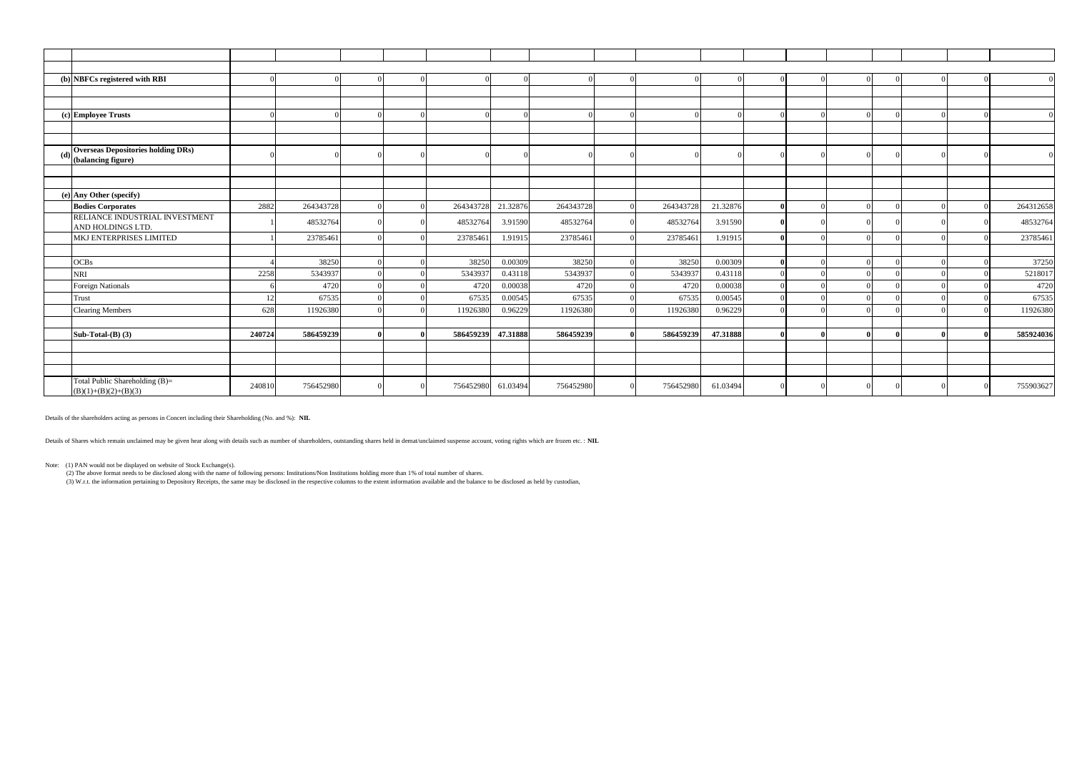|     | (b) NBFCs registered with RBI                                   |        |           |  |           |          |           |           |          |              |          |  |  |           |
|-----|-----------------------------------------------------------------|--------|-----------|--|-----------|----------|-----------|-----------|----------|--------------|----------|--|--|-----------|
|     |                                                                 |        |           |  |           |          |           |           |          |              |          |  |  |           |
|     |                                                                 |        |           |  |           |          |           |           |          |              |          |  |  |           |
|     | (c) Employee Trusts                                             |        |           |  |           |          |           |           |          |              | $\Omega$ |  |  |           |
|     |                                                                 |        |           |  |           |          |           |           |          |              |          |  |  |           |
|     |                                                                 |        |           |  |           |          |           |           |          |              |          |  |  |           |
| (d) | <b>Overseas Depositories holding DRs)</b><br>(balancing figure) |        |           |  |           |          |           |           |          |              |          |  |  |           |
|     |                                                                 |        |           |  |           |          |           |           |          |              |          |  |  |           |
|     |                                                                 |        |           |  |           |          |           |           |          |              |          |  |  |           |
|     | (e) Any Other (specify)                                         |        |           |  |           |          |           |           |          |              |          |  |  |           |
|     | <b>Bodies Corporates</b>                                        | 2882   | 264343728 |  | 264343728 | 21.32876 | 264343728 | 264343728 | 21.32876 | - Ol         | $\Omega$ |  |  | 264312658 |
|     | RELIANCE INDUSTRIAL INVESTMENT                                  |        |           |  |           |          |           |           |          |              |          |  |  |           |
|     | AND HOLDINGS LTD.                                               |        | 48532764  |  | 48532764  | 3.91590  | 48532764  | 48532764  | 3.91590  |              |          |  |  | 48532764  |
|     | MKJ ENTERPRISES LIMITED                                         |        | 23785461  |  | 23785461  | 1.91915  | 23785461  | 23785461  | 1.91915  | $\theta$     | $\Omega$ |  |  | 23785461  |
|     |                                                                 |        |           |  |           |          |           |           |          |              |          |  |  |           |
|     | <b>OCBs</b>                                                     |        | 38250     |  | 38250     | 0.00309  | 38250     | 38250     | 0.00309  | $\mathbf{0}$ | $\Omega$ |  |  | 37250     |
|     | <b>NRI</b>                                                      | 2258   | 5343937   |  | 5343937   | 0.43118  | 5343937   | 5343937   | 0.43118  |              |          |  |  | 5218017   |
|     | <b>Foreign Nationals</b>                                        |        | 4720      |  | 4720      | 0.00038  | 4720      | 4720      | 0.00038  | $\Omega$     |          |  |  | 4720      |
|     | <b>Trust</b>                                                    |        | 67535     |  | 67535     | 0.00545  | 67535     | 67535     | 0.00545  |              |          |  |  | 67535     |
|     | <b>Clearing Members</b>                                         | 628    | 11926380  |  | 11926380  | 0.96229  | 11926380  | 11926380  | 0.96229  |              |          |  |  | 11926380  |
|     |                                                                 |        |           |  |           |          |           |           |          |              |          |  |  |           |
|     | Sub-Total- $(B)$ $(3)$                                          | 240724 | 586459239 |  | 586459239 | 47.31888 | 586459239 | 586459239 | 47.31888 |              | $\theta$ |  |  | 585924036 |
|     |                                                                 |        |           |  |           |          |           |           |          |              |          |  |  |           |
|     |                                                                 |        |           |  |           |          |           |           |          |              |          |  |  |           |
|     |                                                                 |        |           |  |           |          |           |           |          |              |          |  |  |           |
|     | Total Public Shareholding (B)=<br>$(B)(1)+(B)(2)+(B)(3)$        | 240810 | 756452980 |  | 756452980 | 61.03494 | 756452980 | 756452980 | 61.03494 | $\Omega$     | $\Omega$ |  |  | 755903627 |

Details of the shareholders acting as persons in Concert including their Shareholding (No. and %): **NIL**

Details of Shares which remain unclaimed may be given hear along with details such as number of shareholders, outstanding shares held in demat/unclaimed suspense account, voting rights which are frozen etc. : **NIL**

Note: (1) PAN would not be displayed on website of Stock Exchange(s).

(2) The above format needs to be disclosed along with the name of following persons: Institutions/Non Institutions holding more than 1% of total number of shares.

(3) W.r.t. the information pertaining to Depository Receipts, the same may be disclosed in the respective columns to the extent information available and the balance to be disclosed as held by custodian,